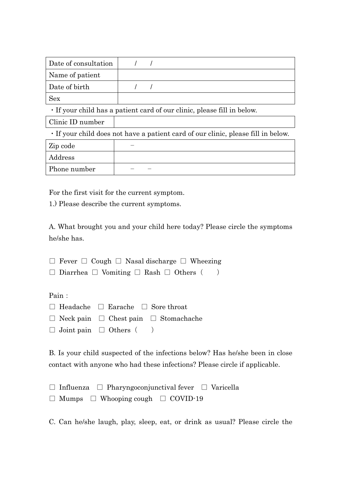| Date of consultation                                                  |  |  |  |  |
|-----------------------------------------------------------------------|--|--|--|--|
| Name of patient                                                       |  |  |  |  |
| Date of birth                                                         |  |  |  |  |
| <b>Sex</b>                                                            |  |  |  |  |
| . If your child has a patient card of our clinic plasse fill in below |  |  |  |  |

If your child has a patient card of our clinic, please fill in

Clinic ID number

・If your child does not have a patient card of our clinic, please fill in below.

| Zip code     |  |
|--------------|--|
| Address      |  |
| Phone number |  |

For the first visit for the current symptom.

1.) Please describe the current symptoms.

A. What brought you and your child here today? Please circle the symptoms he/she has.

 $\Box$  Fever  $\Box$  Cough  $\Box$  Nasal discharge  $\Box$  Wheezing

|  |  |  | $\Box$ Diarrhea $\Box$ Vomiting $\Box$ Rash $\Box$ Others ( |  |  |  |  |  |  |
|--|--|--|-------------------------------------------------------------|--|--|--|--|--|--|
|--|--|--|-------------------------------------------------------------|--|--|--|--|--|--|

Pain:

| $\Box$ Headache $\Box$ Earache $\Box$ Sore throat |                                                       |
|---------------------------------------------------|-------------------------------------------------------|
|                                                   | $\Box$ Neck pain $\Box$ Chest pain $\Box$ Stomachache |
| $\Box$ Joint pain $\Box$ Others $($               |                                                       |

B. Is your child suspected of the infections below? Has he/she been in close contact with anyone who had these infections? Please circle if applicable.

□ Influenza □ Pharyngoconjunctival fever □ Varicella  $\Box$  Mumps  $\Box$  Whooping cough  $\Box$  COVID-19

C. Can he/she laugh, play, sleep, eat, or drink as usual? Please circle the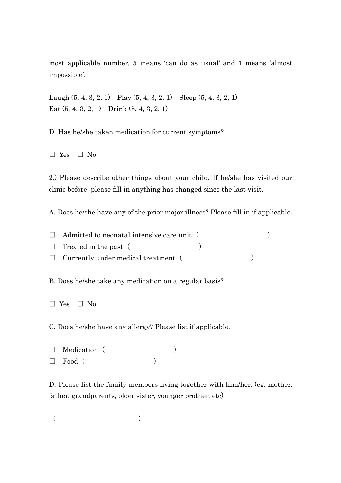most applicable number. 5 means 'can do as usual' and 1 means 'almost impossible'.

Laugh  $(5, 4, 3, 2, 1)$  Play  $(5, 4, 3, 2, 1)$  Sleep  $(5, 4, 3, 2, 1)$ Eat (5, 4, 3, 2, 1) Drink (5, 4, 3, 2, 1)

D. Has he/she taken medication for current symptoms?

□ Yes □ No

2.) Please describe other things about your child. If he/she has visited our clinic before, please fill in anything has changed since the last visit.

A. Does he/she have any of the prior major illness? Please fill in if applicable.

| $\Box$ Admitted to neonatal intensive care unit ( |  |  |
|---------------------------------------------------|--|--|
| $\Box$ Treated in the past (                      |  |  |
| $\Box$ Currently under medical treatment (        |  |  |

B. Does he/she take any medication on a regular basis?

C. Does he/she have any allergy? Please list if applicable.

```
\Box \quad \text{Median} \quad (\hspace{2em} )\Box Food (
```
D. Please list the family members living together with him/her. (eg. mother, father, grandparents, older sister, younger brother. etc)

 $($ 

<sup>□</sup> Yes □ No